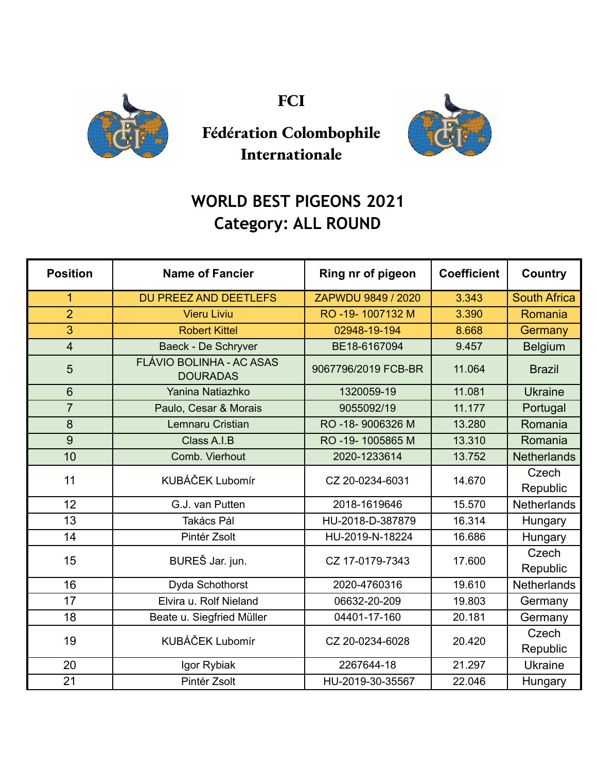

**FCI**



## **Fédération Colombophile Internationale**

## **WORLD BEST PIGEONS 2021 Category: ALL ROUND**

| <b>Position</b> | <b>Name of Fancier</b>                             | Ring nr of pigeon   | <b>Coefficient</b> | <b>Country</b>      |
|-----------------|----------------------------------------------------|---------------------|--------------------|---------------------|
| 1               | <b>DU PREEZ AND DEETLEFS</b>                       | ZAPWDU 9849 / 2020  | 3.343              | <b>South Africa</b> |
| $\overline{2}$  | <b>Vieru Liviu</b>                                 | RO -19-1007132 M    | 3.390              | Romania             |
| $\overline{3}$  | <b>Robert Kittel</b>                               | 02948-19-194        | 8.668              | Germany             |
| $\overline{4}$  | Baeck - De Schryver                                | BE18-6167094        | 9.457              | <b>Belgium</b>      |
| 5               | <b>FLÁVIO BOLINHA - AC ASAS</b><br><b>DOURADAS</b> | 9067796/2019 FCB-BR | 11.064             | <b>Brazil</b>       |
| $6\phantom{1}$  | Yanina Natiazhko                                   | 1320059-19          | 11.081             | <b>Ukraine</b>      |
| $\overline{7}$  | Paulo, Cesar & Morais                              | 9055092/19          | 11.177             | Portugal            |
| 8               | Lemnaru Cristian                                   | RO-18-9006326 M     | 13.280             | Romania             |
| 9               | Class A.I.B                                        | RO -19-1005865 M    | 13.310             | Romania             |
| 10              | Comb. Vierhout                                     | 2020-1233614        | 13.752             | <b>Netherlands</b>  |
| 11              | <b>KUBÁČEK Lubomír</b>                             | CZ 20-0234-6031     | 14.670             | Czech<br>Republic   |
| 12              | G.J. van Putten                                    | 2018-1619646        | 15.570             | <b>Netherlands</b>  |
| 13              | Takács Pál                                         | HU-2018-D-387879    | 16.314             | Hungary             |
| 14              | Pintér Zsolt                                       | HU-2019-N-18224     | 16.686             | Hungary             |
| 15              | BUREŠ Jar. jun.                                    | CZ 17-0179-7343     | 17.600             | Czech<br>Republic   |
| 16              | Dyda Schothorst                                    | 2020-4760316        | 19.610             | <b>Netherlands</b>  |
| 17              | Elvira u. Rolf Nieland                             | 06632-20-209        | 19.803             | Germany             |
| 18              | Beate u. Siegfried Müller                          | 04401-17-160        | 20.181             | Germany             |
| 19              | KUBÁČEK Lubomír                                    | CZ 20-0234-6028     | 20.420             | Czech<br>Republic   |
| 20              | Igor Rybiak                                        | 2267644-18          | 21.297             | Ukraine             |
| 21              | Pintér Zsolt                                       | HU-2019-30-35567    | 22.046             | Hungary             |